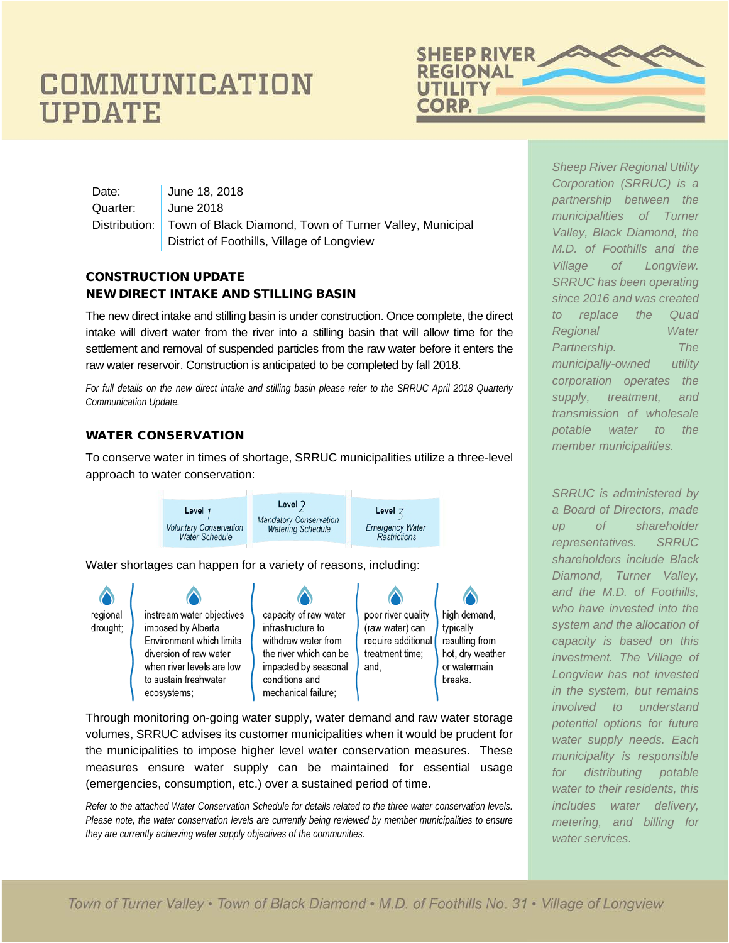# COMMUNICATION **UPDATE**



Date: **June 18, 2018** Quarter: June 2018 Distribution: Town of Black Diamond, Town of Turner Valley, Municipal District of Foothills, Village of Longview

#### CONSTRUCTION UPDATE NEW DIRECT INTAKE AND STILLING BASIN

The new direct intake and stilling basin is under construction. Once complete, the direct intake will divert water from the river into a stilling basin that will allow time for the settlement and removal of suspended particles from the raw water before it enters the raw water reservoir. Construction is anticipated to be completed by fall 2018.

*For full details on the new direct intake and stilling basin please refer to the SRRUC April 2018 Quarterly Communication Update.* 

#### WATER CONSERVATION

To conserve water in times of shortage, SRRUC municipalities utilize a three-level approach to water conservation:



Water shortages can happen for a variety of reasons, including:



Through monitoring on-going water supply, water demand and raw water storage volumes, SRRUC advises its customer municipalities when it would be prudent for the municipalities to impose higher level water conservation measures. These measures ensure water supply can be maintained for essential usage (emergencies, consumption, etc.) over a sustained period of time.

*Refer to the attached Water Conservation Schedule for details related to the three water conservation levels. Please note, the water conservation levels are currently being reviewed by member municipalities to ensure they are currently achieving water supply objectives of the communities.* 

*Sheep River Regional Utility Corporation (SRRUC) is a partnership between the municipalities of Turner Valley, Black Diamond, the M.D. of Foothills and the Village of Longview. SRRUC has been operating since 2016 and was created to replace the Quad Regional Water Partnership. The municipally-owned utility corporation operates the supply, treatment, and transmission of wholesale potable water to the member municipalities.* 

*SRRUC is administered by a Board of Directors, made up of shareholder representatives. SRRUC shareholders include Black Diamond, Turner Valley, and the M.D. of Foothills, who have invested into the system and the allocation of capacity is based on this investment. The Village of Longview has not invested in the system, but remains involved to understand potential options for future water supply needs. Each municipality is responsible for distributing potable water to their residents, this includes water delivery, metering, and billing for water services.*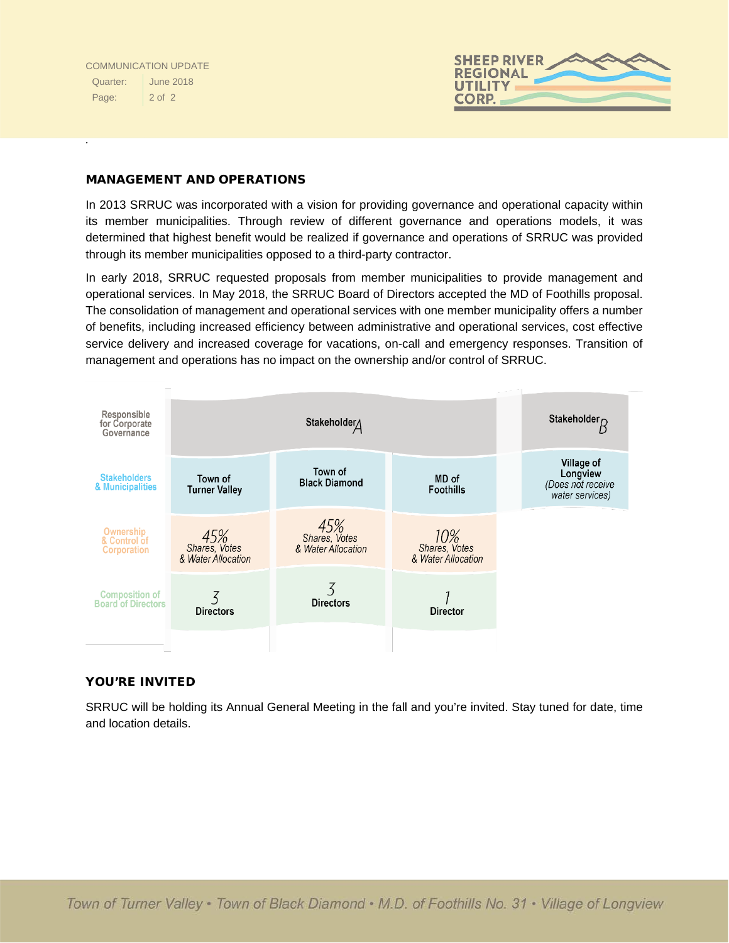*.* 



#### MANAGEMENT AND OPERATIONS

In 2013 SRRUC was incorporated with a vision for providing governance and operational capacity within its member municipalities. Through review of different governance and operations models, it was determined that highest benefit would be realized if governance and operations of SRRUC was provided through its member municipalities opposed to a third-party contractor.

In early 2018, SRRUC requested proposals from member municipalities to provide management and operational services. In May 2018, the SRRUC Board of Directors accepted the MD of Foothills proposal. The consolidation of management and operational services with one member municipality offers a number of benefits, including increased efficiency between administrative and operational services, cost effective service delivery and increased coverage for vacations, on-call and emergency responses. Transition of management and operations has no impact on the ownership and/or control of SRRUC.



#### YOU'RE INVITED

SRRUC will be holding its Annual General Meeting in the fall and you're invited. Stay tuned for date, time and location details.